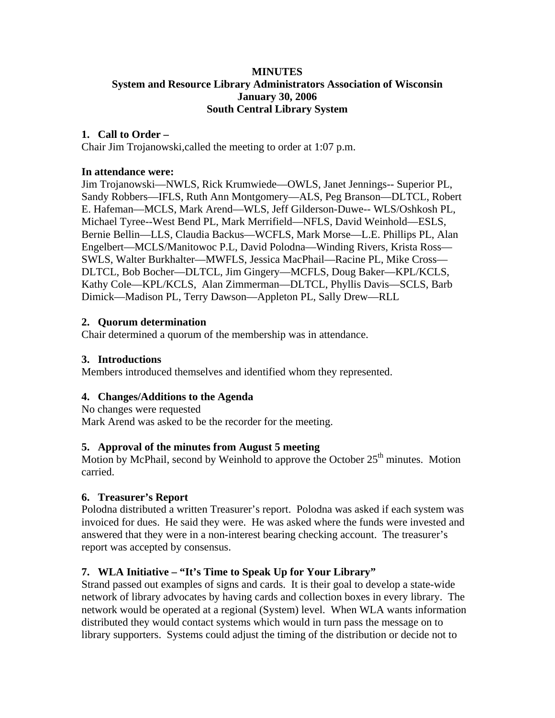## **MINUTES System and Resource Library Administrators Association of Wisconsin January 30, 2006 South Central Library System**

### **1. Call to Order –**

Chair Jim Trojanowski,called the meeting to order at 1:07 p.m.

#### **In attendance were:**

Jim Trojanowski—NWLS, Rick Krumwiede—OWLS, Janet Jennings-- Superior PL, Sandy Robbers—IFLS, Ruth Ann Montgomery—ALS, Peg Branson—DLTCL, Robert E. Hafeman—MCLS, Mark Arend—WLS, Jeff Gilderson-Duwe-- WLS/Oshkosh PL, Michael Tyree--West Bend PL, Mark Merrifield—NFLS, David Weinhold—ESLS, Bernie Bellin—LLS, Claudia Backus—WCFLS, Mark Morse—L.E. Phillips PL, Alan Engelbert—MCLS/Manitowoc P.L, David Polodna—Winding Rivers, Krista Ross— SWLS, Walter Burkhalter—MWFLS, Jessica MacPhail—Racine PL, Mike Cross— DLTCL, Bob Bocher—DLTCL, Jim Gingery—MCFLS, Doug Baker—KPL/KCLS, Kathy Cole—KPL/KCLS, Alan Zimmerman—DLTCL, Phyllis Davis—SCLS, Barb Dimick—Madison PL, Terry Dawson—Appleton PL, Sally Drew—RLL

## **2. Quorum determination**

Chair determined a quorum of the membership was in attendance.

## **3. Introductions**

Members introduced themselves and identified whom they represented.

#### **4. Changes/Additions to the Agenda**

No changes were requested Mark Arend was asked to be the recorder for the meeting.

#### **5. Approval of the minutes from August 5 meeting**

Motion by McPhail, second by Weinhold to approve the October  $25<sup>th</sup>$  minutes. Motion carried.

#### **6. Treasurer's Report**

Polodna distributed a written Treasurer's report. Polodna was asked if each system was invoiced for dues. He said they were. He was asked where the funds were invested and answered that they were in a non-interest bearing checking account. The treasurer's report was accepted by consensus.

# **7. WLA Initiative – "It's Time to Speak Up for Your Library"**

Strand passed out examples of signs and cards. It is their goal to develop a state-wide network of library advocates by having cards and collection boxes in every library. The network would be operated at a regional (System) level. When WLA wants information distributed they would contact systems which would in turn pass the message on to library supporters. Systems could adjust the timing of the distribution or decide not to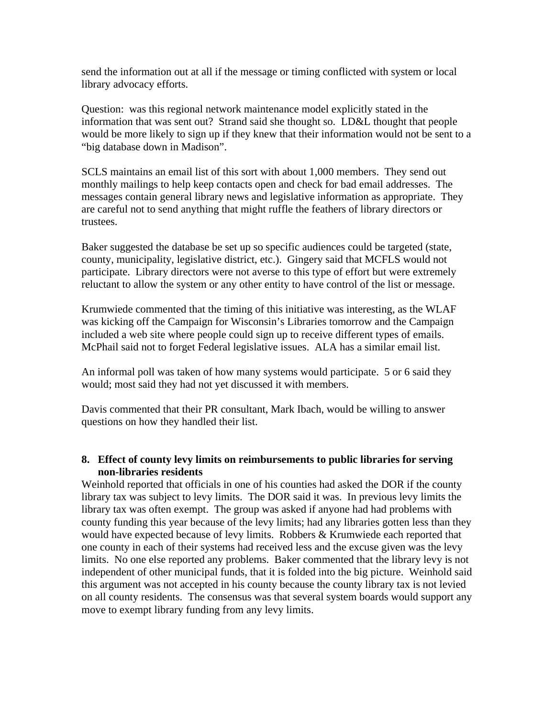send the information out at all if the message or timing conflicted with system or local library advocacy efforts.

Question: was this regional network maintenance model explicitly stated in the information that was sent out? Strand said she thought so. LD&L thought that people would be more likely to sign up if they knew that their information would not be sent to a "big database down in Madison".

SCLS maintains an email list of this sort with about 1,000 members. They send out monthly mailings to help keep contacts open and check for bad email addresses. The messages contain general library news and legislative information as appropriate. They are careful not to send anything that might ruffle the feathers of library directors or trustees.

Baker suggested the database be set up so specific audiences could be targeted (state, county, municipality, legislative district, etc.). Gingery said that MCFLS would not participate. Library directors were not averse to this type of effort but were extremely reluctant to allow the system or any other entity to have control of the list or message.

Krumwiede commented that the timing of this initiative was interesting, as the WLAF was kicking off the Campaign for Wisconsin's Libraries tomorrow and the Campaign included a web site where people could sign up to receive different types of emails. McPhail said not to forget Federal legislative issues. ALA has a similar email list.

An informal poll was taken of how many systems would participate. 5 or 6 said they would; most said they had not yet discussed it with members.

Davis commented that their PR consultant, Mark Ibach, would be willing to answer questions on how they handled their list.

# **8. Effect of county levy limits on reimbursements to public libraries for serving non-libraries residents**

Weinhold reported that officials in one of his counties had asked the DOR if the county library tax was subject to levy limits. The DOR said it was. In previous levy limits the library tax was often exempt. The group was asked if anyone had had problems with county funding this year because of the levy limits; had any libraries gotten less than they would have expected because of levy limits. Robbers & Krumwiede each reported that one county in each of their systems had received less and the excuse given was the levy limits. No one else reported any problems. Baker commented that the library levy is not independent of other municipal funds, that it is folded into the big picture. Weinhold said this argument was not accepted in his county because the county library tax is not levied on all county residents. The consensus was that several system boards would support any move to exempt library funding from any levy limits.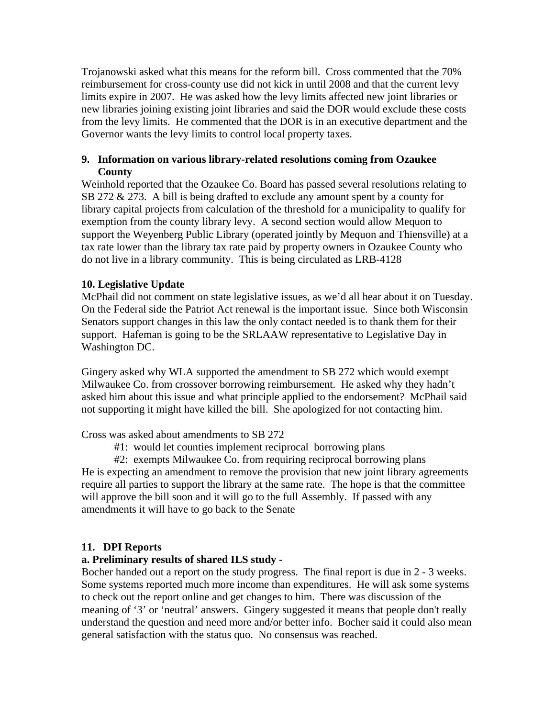Trojanowski asked what this means for the reform bill. Cross commented that the 70% reimbursement for cross-county use did not kick in until 2008 and that the current levy limits expire in 2007. He was asked how the levy limits affected new joint libraries or new libraries joining existing joint libraries and said the DOR would exclude these costs from the levy limits. He commented that the DOR is in an executive department and the Governor wants the levy limits to control local property taxes.

## **9. Information on various library-related resolutions coming from Ozaukee County**

Weinhold reported that the Ozaukee Co. Board has passed several resolutions relating to SB 272 & 273. A bill is being drafted to exclude any amount spent by a county for library capital projects from calculation of the threshold for a municipality to qualify for exemption from the county library levy. A second section would allow Mequon to support the Weyenberg Public Library (operated jointly by Mequon and Thiensville) at a tax rate lower than the library tax rate paid by property owners in Ozaukee County who do not live in a library community. This is being circulated as LRB-4128

# **10. Legislative Update**

McPhail did not comment on state legislative issues, as we'd all hear about it on Tuesday. On the Federal side the Patriot Act renewal is the important issue. Since both Wisconsin Senators support changes in this law the only contact needed is to thank them for their support. Hafeman is going to be the SRLAAW representative to Legislative Day in Washington DC.

Gingery asked why WLA supported the amendment to SB 272 which would exempt Milwaukee Co. from crossover borrowing reimbursement. He asked why they hadn't asked him about this issue and what principle applied to the endorsement? McPhail said not supporting it might have killed the bill. She apologized for not contacting him.

Cross was asked about amendments to SB 272

#1: would let counties implement reciprocal borrowing plans

#2: exempts Milwaukee Co. from requiring reciprocal borrowing plans

He is expecting an amendment to remove the provision that new joint library agreements require all parties to support the library at the same rate. The hope is that the committee will approve the bill soon and it will go to the full Assembly. If passed with any amendments it will have to go back to the Senate

# **11. DPI Reports**

# **a. Preliminary results of shared ILS study -**

Bocher handed out a report on the study progress. The final report is due in 2 - 3 weeks. Some systems reported much more income than expenditures. He will ask some systems to check out the report online and get changes to him. There was discussion of the meaning of '3' or 'neutral' answers. Gingery suggested it means that people don't really understand the question and need more and/or better info. Bocher said it could also mean general satisfaction with the status quo. No consensus was reached.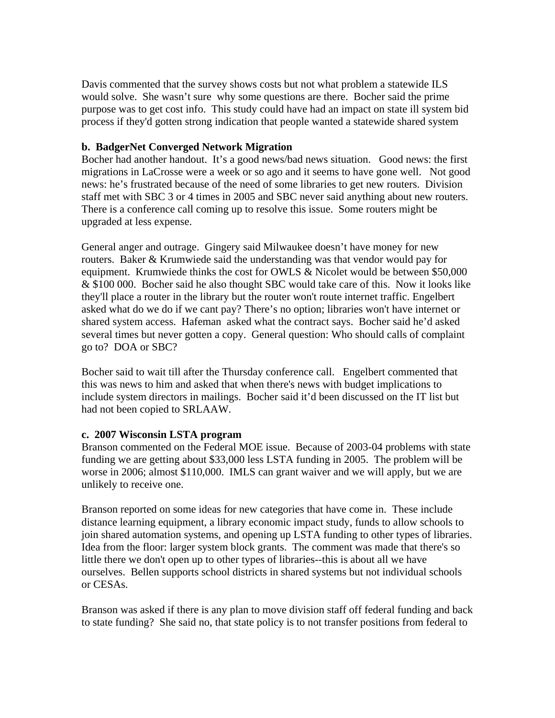Davis commented that the survey shows costs but not what problem a statewide ILS would solve. She wasn't sure why some questions are there. Bocher said the prime purpose was to get cost info. This study could have had an impact on state ill system bid process if they'd gotten strong indication that people wanted a statewide shared system

## **b. BadgerNet Converged Network Migration**

Bocher had another handout. It's a good news/bad news situation. Good news: the first migrations in LaCrosse were a week or so ago and it seems to have gone well. Not good news: he's frustrated because of the need of some libraries to get new routers. Division staff met with SBC 3 or 4 times in 2005 and SBC never said anything about new routers. There is a conference call coming up to resolve this issue. Some routers might be upgraded at less expense.

General anger and outrage. Gingery said Milwaukee doesn't have money for new routers. Baker & Krumwiede said the understanding was that vendor would pay for equipment. Krumwiede thinks the cost for OWLS & Nicolet would be between \$50,000 & \$100 000. Bocher said he also thought SBC would take care of this. Now it looks like they'll place a router in the library but the router won't route internet traffic. Engelbert asked what do we do if we cant pay? There's no option; libraries won't have internet or shared system access. Hafeman asked what the contract says. Bocher said he'd asked several times but never gotten a copy. General question: Who should calls of complaint go to? DOA or SBC?

Bocher said to wait till after the Thursday conference call. Engelbert commented that this was news to him and asked that when there's news with budget implications to include system directors in mailings. Bocher said it'd been discussed on the IT list but had not been copied to SRLAAW.

#### **c. 2007 Wisconsin LSTA program**

Branson commented on the Federal MOE issue. Because of 2003-04 problems with state funding we are getting about \$33,000 less LSTA funding in 2005. The problem will be worse in 2006; almost \$110,000. IMLS can grant waiver and we will apply, but we are unlikely to receive one.

Branson reported on some ideas for new categories that have come in. These include distance learning equipment, a library economic impact study, funds to allow schools to join shared automation systems, and opening up LSTA funding to other types of libraries. Idea from the floor: larger system block grants. The comment was made that there's so little there we don't open up to other types of libraries--this is about all we have ourselves. Bellen supports school districts in shared systems but not individual schools or CESAs.

Branson was asked if there is any plan to move division staff off federal funding and back to state funding? She said no, that state policy is to not transfer positions from federal to